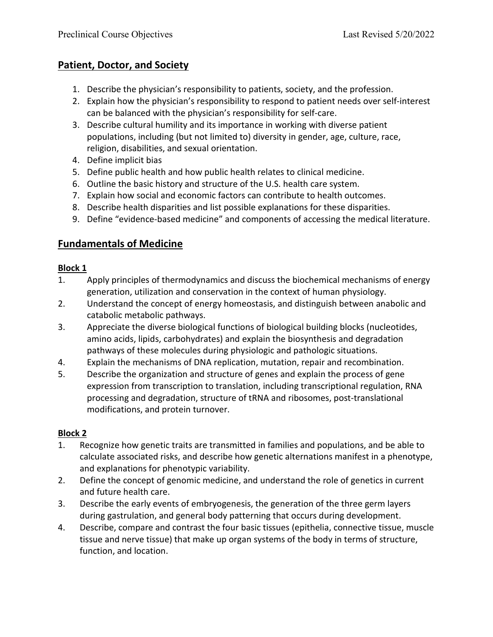## **Patient, Doctor, and Society**

- 1. Describe the physician's responsibility to patients, society, and the profession.
- 2. Explain how the physician's responsibility to respond to patient needs over self-interest can be balanced with the physician's responsibility for self-care.
- 3. Describe cultural humility and its importance in working with diverse patient populations, including (but not limited to) diversity in gender, age, culture, race, religion, disabilities, and sexual orientation.
- 4. Define implicit bias
- 5. Define public health and how public health relates to clinical medicine.
- 6. Outline the basic history and structure of the U.S. health care system.
- 7. Explain how social and economic factors can contribute to health outcomes.
- 8. Describe health disparities and list possible explanations for these disparities.
- 9. Define "evidence-based medicine" and components of accessing the medical literature.

## **Fundamentals of Medicine**

#### **Block 1**

- 1. Apply principles of thermodynamics and discuss the biochemical mechanisms of energy generation, utilization and conservation in the context of human physiology.
- 2. Understand the concept of energy homeostasis, and distinguish between anabolic and catabolic metabolic pathways.
- 3. Appreciate the diverse biological functions of biological building blocks (nucleotides, amino acids, lipids, carbohydrates) and explain the biosynthesis and degradation pathways of these molecules during physiologic and pathologic situations.
- 4. Explain the mechanisms of DNA replication, mutation, repair and recombination.
- 5. Describe the organization and structure of genes and explain the process of gene expression from transcription to translation, including transcriptional regulation, RNA processing and degradation, structure of tRNA and ribosomes, post-translational modifications, and protein turnover.

#### **Block 2**

- 1. Recognize how genetic traits are transmitted in families and populations, and be able to calculate associated risks, and describe how genetic alternations manifest in a phenotype, and explanations for phenotypic variability.
- 2. Define the concept of genomic medicine, and understand the role of genetics in current and future health care.
- 3. Describe the early events of embryogenesis, the generation of the three germ layers during gastrulation, and general body patterning that occurs during development.
- 4. Describe, compare and contrast the four basic tissues (epithelia, connective tissue, muscle tissue and nerve tissue) that make up organ systems of the body in terms of structure, function, and location.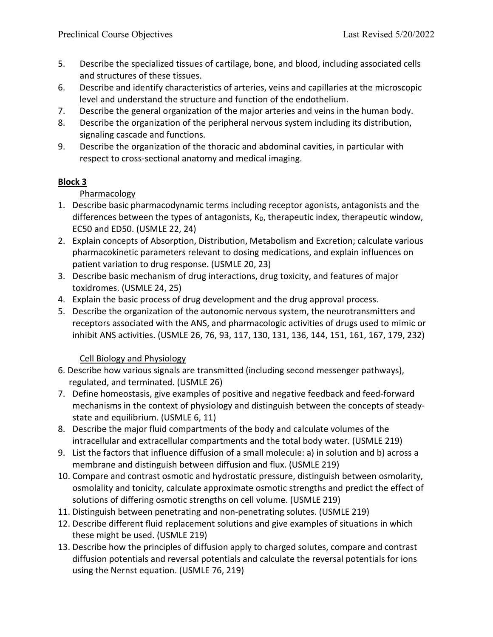- 5. Describe the specialized tissues of cartilage, bone, and blood, including associated cells and structures of these tissues.
- 6. Describe and identify characteristics of arteries, veins and capillaries at the microscopic level and understand the structure and function of the endothelium.
- 7. Describe the general organization of the major arteries and veins in the human body.
- 8. Describe the organization of the peripheral nervous system including its distribution, signaling cascade and functions.
- 9. Describe the organization of the thoracic and abdominal cavities, in particular with respect to cross-sectional anatomy and medical imaging.

## **Block 3**

## **Pharmacology**

- 1. Describe basic pharmacodynamic terms including receptor agonists, antagonists and the differences between the types of antagonists,  $K_D$ , therapeutic index, therapeutic window, EC50 and ED50. (USMLE 22, 24)
- 2. Explain concepts of Absorption, Distribution, Metabolism and Excretion; calculate various pharmacokinetic parameters relevant to dosing medications, and explain influences on patient variation to drug response. (USMLE 20, 23)
- 3. Describe basic mechanism of drug interactions, drug toxicity, and features of major toxidromes. (USMLE 24, 25)
- 4. Explain the basic process of drug development and the drug approval process.
- 5. Describe the organization of the autonomic nervous system, the neurotransmitters and receptors associated with the ANS, and pharmacologic activities of drugs used to mimic or inhibit ANS activities. (USMLE 26, 76, 93, 117, 130, 131, 136, 144, 151, 161, 167, 179, 232)

#### Cell Biology and Physiology

- 6. Describe how various signals are transmitted (including second messenger pathways), regulated, and terminated. (USMLE 26)
- 7. Define homeostasis, give examples of positive and negative feedback and feed-forward mechanisms in the context of physiology and distinguish between the concepts of steadystate and equilibrium. (USMLE 6, 11)
- 8. Describe the major fluid compartments of the body and calculate volumes of the intracellular and extracellular compartments and the total body water. (USMLE 219)
- 9. List the factors that influence diffusion of a small molecule: a) in solution and b) across a membrane and distinguish between diffusion and flux. (USMLE 219)
- 10. Compare and contrast osmotic and hydrostatic pressure, distinguish between osmolarity, osmolality and tonicity, calculate approximate osmotic strengths and predict the effect of solutions of differing osmotic strengths on cell volume. (USMLE 219)
- 11. Distinguish between penetrating and non-penetrating solutes. (USMLE 219)
- 12. Describe different fluid replacement solutions and give examples of situations in which these might be used. (USMLE 219)
- 13. Describe how the principles of diffusion apply to charged solutes, compare and contrast diffusion potentials and reversal potentials and calculate the reversal potentials for ions using the Nernst equation. (USMLE 76, 219)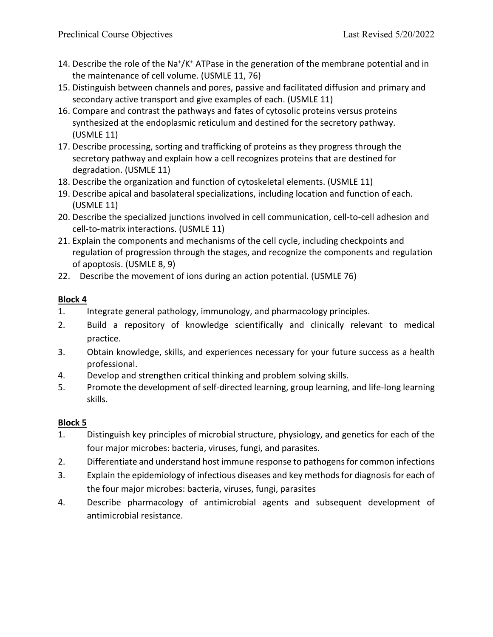- 14. Describe the role of the Na<sup>+</sup>/K<sup>+</sup> ATPase in the generation of the membrane potential and in the maintenance of cell volume. (USMLE 11, 76)
- 15. Distinguish between channels and pores, passive and facilitated diffusion and primary and secondary active transport and give examples of each. (USMLE 11)
- 16. Compare and contrast the pathways and fates of cytosolic proteins versus proteins synthesized at the endoplasmic reticulum and destined for the secretory pathway. (USMLE 11)
- 17. Describe processing, sorting and trafficking of proteins as they progress through the secretory pathway and explain how a cell recognizes proteins that are destined for degradation. (USMLE 11)
- 18. Describe the organization and function of cytoskeletal elements. (USMLE 11)
- 19. Describe apical and basolateral specializations, including location and function of each. (USMLE 11)
- 20. Describe the specialized junctions involved in cell communication, cell-to-cell adhesion and cell-to-matrix interactions. (USMLE 11)
- 21. Explain the components and mechanisms of the cell cycle, including checkpoints and regulation of progression through the stages, and recognize the components and regulation of apoptosis. (USMLE 8, 9)
- 22. Describe the movement of ions during an action potential. (USMLE 76)

#### **Block 4**

- 1. Integrate general pathology, immunology, and pharmacology principles.
- 2. Build a repository of knowledge scientifically and clinically relevant to medical practice.
- 3. Obtain knowledge, skills, and experiences necessary for your future success as a health professional.
- 4. Develop and strengthen critical thinking and problem solving skills.
- 5. Promote the development of self-directed learning, group learning, and life-long learning skills.

#### **Block 5**

- 1. Distinguish key principles of microbial structure, physiology, and genetics for each of the four major microbes: bacteria, viruses, fungi, and parasites.
- 2. Differentiate and understand host immune response to pathogens for common infections
- 3. Explain the epidemiology of infectious diseases and key methods for diagnosis for each of the four major microbes: bacteria, viruses, fungi, parasites
- 4. Describe pharmacology of antimicrobial agents and subsequent development of antimicrobial resistance.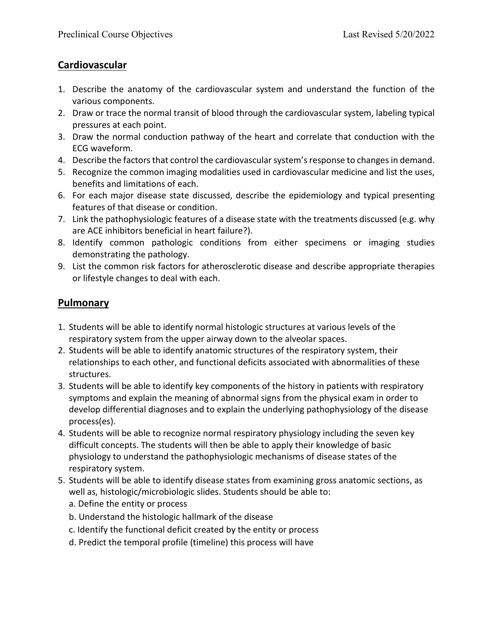## **Cardiovascular**

- 1. Describe the anatomy of the cardiovascular system and understand the function of the various components.
- 2. Draw or trace the normal transit of blood through the cardiovascular system, labeling typical pressures at each point.
- 3. Draw the normal conduction pathway of the heart and correlate that conduction with the ECG waveform.
- 4. Describe the factors that control the cardiovascular system's response to changes in demand.
- 5. Recognize the common imaging modalities used in cardiovascular medicine and list the uses, benefits and limitations of each.
- 6. For each major disease state discussed, describe the epidemiology and typical presenting features of that disease or condition.
- 7. Link the pathophysiologic features of a disease state with the treatments discussed (e.g. why are ACE inhibitors beneficial in heart failure?).
- 8. Identify common pathologic conditions from either specimens or imaging studies demonstrating the pathology.
- 9. List the common risk factors for atherosclerotic disease and describe appropriate therapies or lifestyle changes to deal with each.

## **Pulmonary**

- 1. Students will be able to identify normal histologic structures at various levels of the respiratory system from the upper airway down to the alveolar spaces.
- 2. Students will be able to identify anatomic structures of the respiratory system, their relationships to each other, and functional deficits associated with abnormalities of these structures.
- 3. Students will be able to identify key components of the history in patients with respiratory symptoms and explain the meaning of abnormal signs from the physical exam in order to develop differential diagnoses and to explain the underlying pathophysiology of the disease process(es).
- 4. Students will be able to recognize normal respiratory physiology including the seven key difficult concepts. The students will then be able to apply their knowledge of basic physiology to understand the pathophysiologic mechanisms of disease states of the respiratory system.
- 5. Students will be able to identify disease states from examining gross anatomic sections, as well as, histologic/microbiologic slides. Students should be able to: a. Define the entity or process
	- b. Understand the histologic hallmark of the disease
	- c. Identify the functional deficit created by the entity or process
	- d. Predict the temporal profile (timeline) this process will have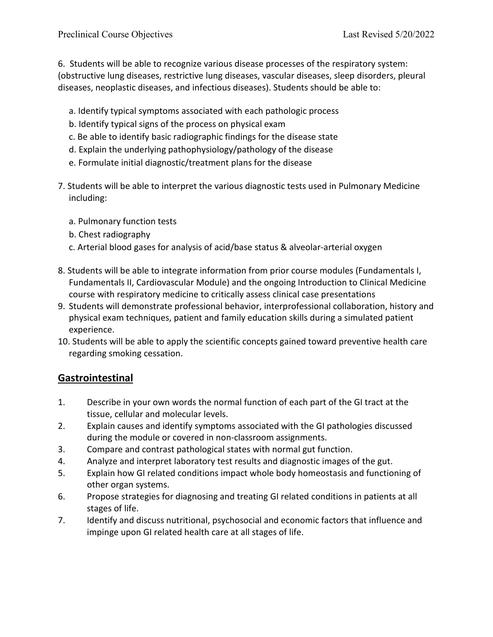6. Students will be able to recognize various disease processes of the respiratory system: (obstructive lung diseases, restrictive lung diseases, vascular diseases, sleep disorders, pleural diseases, neoplastic diseases, and infectious diseases). Students should be able to:

- a. Identify typical symptoms associated with each pathologic process
- b. Identify typical signs of the process on physical exam
- c. Be able to identify basic radiographic findings for the disease state
- d. Explain the underlying pathophysiology/pathology of the disease
- e. Formulate initial diagnostic/treatment plans for the disease
- 7. Students will be able to interpret the various diagnostic tests used in Pulmonary Medicine including:
	- a. Pulmonary function tests
	- b. Chest radiography
	- c. Arterial blood gases for analysis of acid/base status & alveolar-arterial oxygen
- 8. Students will be able to integrate information from prior course modules (Fundamentals I, Fundamentals II, Cardiovascular Module) and the ongoing Introduction to Clinical Medicine course with respiratory medicine to critically assess clinical case presentations
- 9. Students will demonstrate professional behavior, interprofessional collaboration, history and physical exam techniques, patient and family education skills during a simulated patient experience.
- 10. Students will be able to apply the scientific concepts gained toward preventive health care regarding smoking cessation.

## **Gastrointestinal**

- 1. Describe in your own words the normal function of each part of the GI tract at the tissue, cellular and molecular levels.
- 2. Explain causes and identify symptoms associated with the GI pathologies discussed during the module or covered in non-classroom assignments.
- 3. Compare and contrast pathological states with normal gut function.
- 4. Analyze and interpret laboratory test results and diagnostic images of the gut.
- 5. Explain how GI related conditions impact whole body homeostasis and functioning of other organ systems.
- 6. Propose strategies for diagnosing and treating GI related conditions in patients at all stages of life.
- 7. Identify and discuss nutritional, psychosocial and economic factors that influence and impinge upon GI related health care at all stages of life.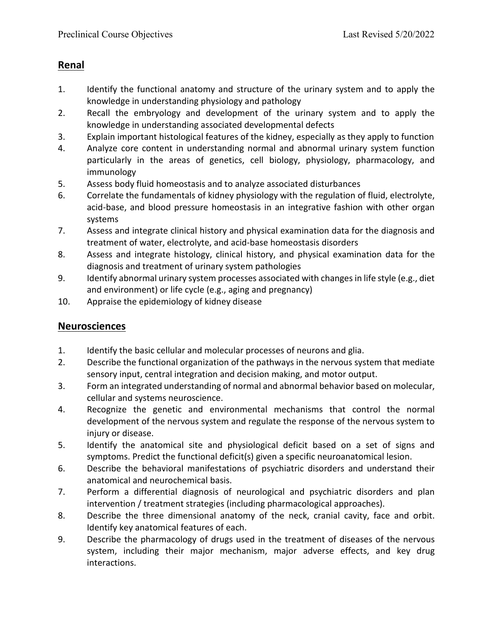## **Renal**

- 1. Identify the functional anatomy and structure of the urinary system and to apply the knowledge in understanding physiology and pathology
- 2. Recall the embryology and development of the urinary system and to apply the knowledge in understanding associated developmental defects
- 3. Explain important histological features of the kidney, especially as they apply to function
- 4. Analyze core content in understanding normal and abnormal urinary system function particularly in the areas of genetics, cell biology, physiology, pharmacology, and immunology
- 5. Assess body fluid homeostasis and to analyze associated disturbances
- 6. Correlate the fundamentals of kidney physiology with the regulation of fluid, electrolyte, acid-base, and blood pressure homeostasis in an integrative fashion with other organ systems
- 7. Assess and integrate clinical history and physical examination data for the diagnosis and treatment of water, electrolyte, and acid-base homeostasis disorders
- 8. Assess and integrate histology, clinical history, and physical examination data for the diagnosis and treatment of urinary system pathologies
- 9. Identify abnormal urinary system processes associated with changes in life style (e.g., diet and environment) or life cycle (e.g., aging and pregnancy)
- 10. Appraise the epidemiology of kidney disease

#### **Neurosciences**

- 1. Identify the basic cellular and molecular processes of neurons and glia.
- 2. Describe the functional organization of the pathways in the nervous system that mediate sensory input, central integration and decision making, and motor output.
- 3. Form an integrated understanding of normal and abnormal behavior based on molecular, cellular and systems neuroscience.
- 4. Recognize the genetic and environmental mechanisms that control the normal development of the nervous system and regulate the response of the nervous system to injury or disease.
- 5. Identify the anatomical site and physiological deficit based on a set of signs and symptoms. Predict the functional deficit(s) given a specific neuroanatomical lesion.
- 6. Describe the behavioral manifestations of psychiatric disorders and understand their anatomical and neurochemical basis.
- 7. Perform a differential diagnosis of neurological and psychiatric disorders and plan intervention / treatment strategies (including pharmacological approaches).
- 8. Describe the three dimensional anatomy of the neck, cranial cavity, face and orbit. Identify key anatomical features of each.
- 9. Describe the pharmacology of drugs used in the treatment of diseases of the nervous system, including their major mechanism, major adverse effects, and key drug interactions.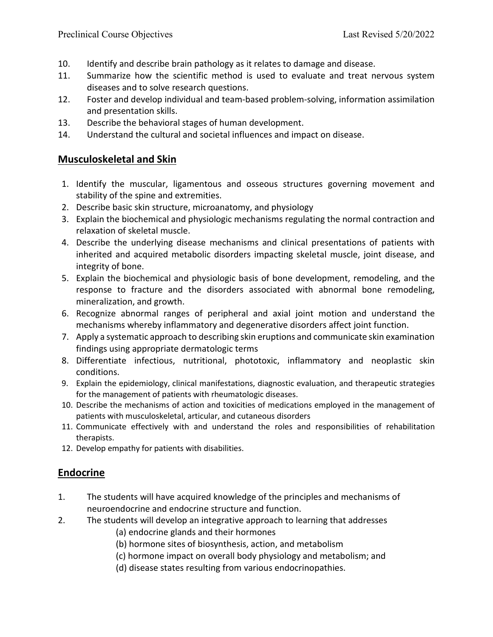- 10. Identify and describe brain pathology as it relates to damage and disease.
- 11. Summarize how the scientific method is used to evaluate and treat nervous system diseases and to solve research questions.
- 12. Foster and develop individual and team-based problem-solving, information assimilation and presentation skills.
- 13. Describe the behavioral stages of human development.
- 14. Understand the cultural and societal influences and impact on disease.

## **Musculoskeletal and Skin**

- 1. Identify the muscular, ligamentous and osseous structures governing movement and stability of the spine and extremities.
- 2. Describe basic skin structure, microanatomy, and physiology
- 3. Explain the biochemical and physiologic mechanisms regulating the normal contraction and relaxation of skeletal muscle.
- 4. Describe the underlying disease mechanisms and clinical presentations of patients with inherited and acquired metabolic disorders impacting skeletal muscle, joint disease, and integrity of bone.
- 5. Explain the biochemical and physiologic basis of bone development, remodeling, and the response to fracture and the disorders associated with abnormal bone remodeling, mineralization, and growth.
- 6. Recognize abnormal ranges of peripheral and axial joint motion and understand the mechanisms whereby inflammatory and degenerative disorders affect joint function.
- 7. Apply a systematic approach to describing skin eruptions and communicate skin examination findings using appropriate dermatologic terms
- 8. Differentiate infectious, nutritional, phototoxic, inflammatory and neoplastic skin conditions.
- 9. Explain the epidemiology, clinical manifestations, diagnostic evaluation, and therapeutic strategies for the management of patients with rheumatologic diseases.
- 10. Describe the mechanisms of action and toxicities of medications employed in the management of patients with musculoskeletal, articular, and cutaneous disorders
- 11. Communicate effectively with and understand the roles and responsibilities of rehabilitation therapists.
- 12. Develop empathy for patients with disabilities.

## **Endocrine**

- 1. The students will have acquired knowledge of the principles and mechanisms of neuroendocrine and endocrine structure and function.
- 2. The students will develop an integrative approach to learning that addresses
	- (a) endocrine glands and their hormones
	- (b) hormone sites of biosynthesis, action, and metabolism
	- (c) hormone impact on overall body physiology and metabolism; and
	- (d) disease states resulting from various endocrinopathies.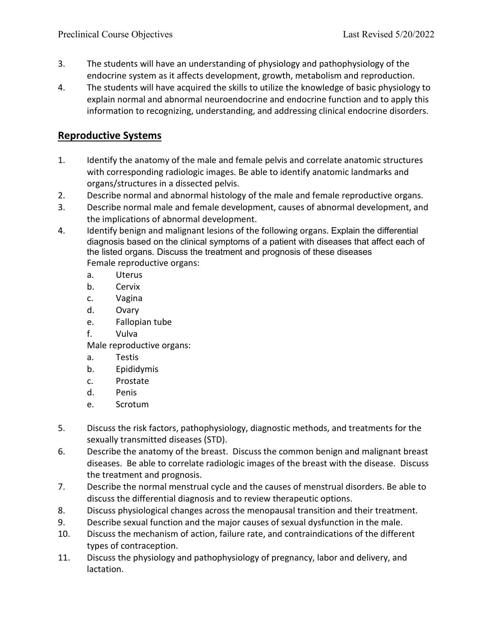- 3. The students will have an understanding of physiology and pathophysiology of the endocrine system as it affects development, growth, metabolism and reproduction.
- 4. The students will have acquired the skills to utilize the knowledge of basic physiology to explain normal and abnormal neuroendocrine and endocrine function and to apply this information to recognizing, understanding, and addressing clinical endocrine disorders.

## **Reproductive Systems**

- 1. Identify the anatomy of the male and female pelvis and correlate anatomic structures with corresponding radiologic images. Be able to identify anatomic landmarks and organs/structures in a dissected pelvis.
- 2. Describe normal and abnormal histology of the male and female reproductive organs.
- 3. Describe normal male and female development, causes of abnormal development, and the implications of abnormal development.
- 4. Identify benign and malignant lesions of the following organs. Explain the differential diagnosis based on the clinical symptoms of a patient with diseases that affect each of the listed organs. Discuss the treatment and prognosis of these diseases Female reproductive organs:
	- a. Uterus
	- b. Cervix
	- c. Vagina
	- d. Ovary
	- e. Fallopian tube
	- f. Vulva

Male reproductive organs:

- a. Testis
- b. Epididymis
- c. Prostate
- d. Penis
- e. Scrotum
- 5. Discuss the risk factors, pathophysiology, diagnostic methods, and treatments for the sexually transmitted diseases (STD).
- 6. Describe the anatomy of the breast. Discuss the common benign and malignant breast diseases. Be able to correlate radiologic images of the breast with the disease. Discuss the treatment and prognosis.
- 7. Describe the normal menstrual cycle and the causes of menstrual disorders. Be able to discuss the differential diagnosis and to review therapeutic options.
- 8. Discuss physiological changes across the menopausal transition and their treatment.
- 9. Describe sexual function and the major causes of sexual dysfunction in the male.
- 10. Discuss the mechanism of action, failure rate, and contraindications of the different types of contraception.
- 11. Discuss the physiology and pathophysiology of pregnancy, labor and delivery, and lactation.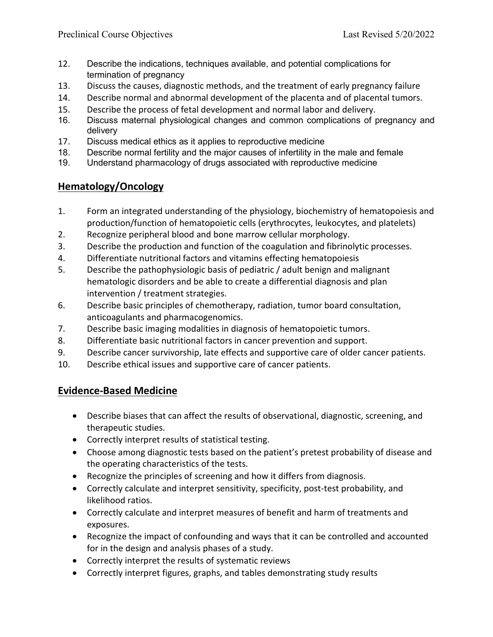- 12. Describe the indications, techniques available, and potential complications for termination of pregnancy
- 13. Discuss the causes, diagnostic methods, and the treatment of early pregnancy failure
- 14. Describe normal and abnormal development of the placenta and of placental tumors.
- 15. Describe the process of fetal development and normal labor and delivery.
- 16. Discuss maternal physiological changes and common complications of pregnancy and delivery
- 17. Discuss medical ethics as it applies to reproductive medicine
- 18. Describe normal fertility and the major causes of infertility in the male and female
- 19. Understand pharmacology of drugs associated with reproductive medicine

## **Hematology/Oncology**

- 1. Form an integrated understanding of the physiology, biochemistry of hematopoiesis and production/function of hematopoietic cells (erythrocytes, leukocytes, and platelets)
- 2. Recognize peripheral blood and bone marrow cellular morphology.
- 3. Describe the production and function of the coagulation and fibrinolytic processes.
- 4. Differentiate nutritional factors and vitamins effecting hematopoiesis
- 5. Describe the pathophysiologic basis of pediatric / adult benign and malignant hematologic disorders and be able to create a differential diagnosis and plan intervention / treatment strategies.
- 6. Describe basic principles of chemotherapy, radiation, tumor board consultation, anticoagulants and pharmacogenomics.
- 7. Describe basic imaging modalities in diagnosis of hematopoietic tumors.
- 8. Differentiate basic nutritional factors in cancer prevention and support.
- 9. Describe cancer survivorship, late effects and supportive care of older cancer patients.
- 10. Describe ethical issues and supportive care of cancer patients.

## **Evidence-Based Medicine**

- Describe biases that can affect the results of observational, diagnostic, screening, and therapeutic studies.
- Correctly interpret results of statistical testing.
- Choose among diagnostic tests based on the patient's pretest probability of disease and the operating characteristics of the tests.
- Recognize the principles of screening and how it differs from diagnosis.
- Correctly calculate and interpret sensitivity, specificity, post-test probability, and likelihood ratios.
- Correctly calculate and interpret measures of benefit and harm of treatments and exposures.
- Recognize the impact of confounding and ways that it can be controlled and accounted for in the design and analysis phases of a study.
- Correctly interpret the results of systematic reviews
- Correctly interpret figures, graphs, and tables demonstrating study results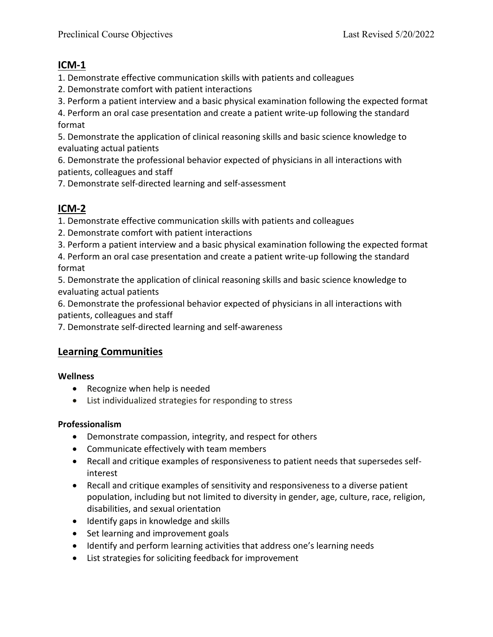## **ICM-1**

1. Demonstrate effective communication skills with patients and colleagues

- 2. Demonstrate comfort with patient interactions
- 3. Perform a patient interview and a basic physical examination following the expected format

4. Perform an oral case presentation and create a patient write-up following the standard format

5. Demonstrate the application of clinical reasoning skills and basic science knowledge to evaluating actual patients

6. Demonstrate the professional behavior expected of physicians in all interactions with patients, colleagues and staff

7. Demonstrate self-directed learning and self-assessment

# **ICM-2**

1. Demonstrate effective communication skills with patients and colleagues

2. Demonstrate comfort with patient interactions

3. Perform a patient interview and a basic physical examination following the expected format

4. Perform an oral case presentation and create a patient write-up following the standard format

5. Demonstrate the application of clinical reasoning skills and basic science knowledge to evaluating actual patients

6. Demonstrate the professional behavior expected of physicians in all interactions with patients, colleagues and staff

7. Demonstrate self-directed learning and self-awareness

# **Learning Communities**

#### **Wellness**

- Recognize when help is needed
- List individualized strategies for responding to stress

## **Professionalism**

- Demonstrate compassion, integrity, and respect for others
- Communicate effectively with team members
- Recall and critique examples of responsiveness to patient needs that supersedes selfinterest
- Recall and critique examples of sensitivity and responsiveness to a diverse patient population, including but not limited to diversity in gender, age, culture, race, religion, disabilities, and sexual orientation
- Identify gaps in knowledge and skills
- Set learning and improvement goals
- Identify and perform learning activities that address one's learning needs
- List strategies for soliciting feedback for improvement